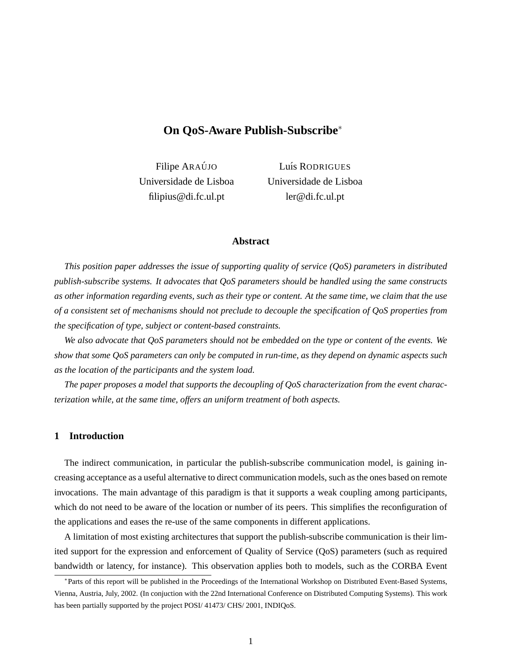## **On QoS-Aware Publish-Subscribe**<sup>∗</sup>

Filipe ARAÚJO Universidade de Lisboa filipius@di.fc.ul.pt

Luís RODRIGUES Universidade de Lisboa ler@di.fc.ul.pt

### **Abstract**

*This position paper addresses the issue of supporting quality of service (QoS) parameters in distributed publish-subscribe systems. It advocates that QoS parameters should be handled using the same constructs as other information regarding events, such as their type or content. At the same time, we claim that the use of a consistent set of mechanisms should not preclude to decouple the specification of QoS properties from the specification of type, subject or content-based constraints.*

*We also advocate that QoS parameters should not be embedded on the type or content of the events. We show that some QoS parameters can only be computed in run-time, as they depend on dynamic aspects such as the location of the participants and the system load.*

*The paper proposes a model that supports the decoupling of QoS characterization from the event characterization while, at the same time, offers an uniform treatment of both aspects.*

### **1 Introduction**

The indirect communication, in particular the publish-subscribe communication model, is gaining increasing acceptance as a useful alternative to direct communication models, such as the ones based on remote invocations. The main advantage of this paradigm is that it supports a weak coupling among participants, which do not need to be aware of the location or number of its peers. This simplifies the reconfiguration of the applications and eases the re-use of the same components in different applications.

A limitation of most existing architectures that support the publish-subscribe communication is their limited support for the expression and enforcement of Quality of Service (QoS) parameters (such as required bandwidth or latency, for instance). This observation applies both to models, such as the CORBA Event

<sup>∗</sup> Parts of this report will be published in the Proceedings of the International Workshop on Distributed Event-Based Systems, Vienna, Austria, July, 2002. (In conjuction with the 22nd International Conference on Distributed Computing Systems). This work has been partially supported by the project POSI/ 41473/ CHS/ 2001, INDIQoS.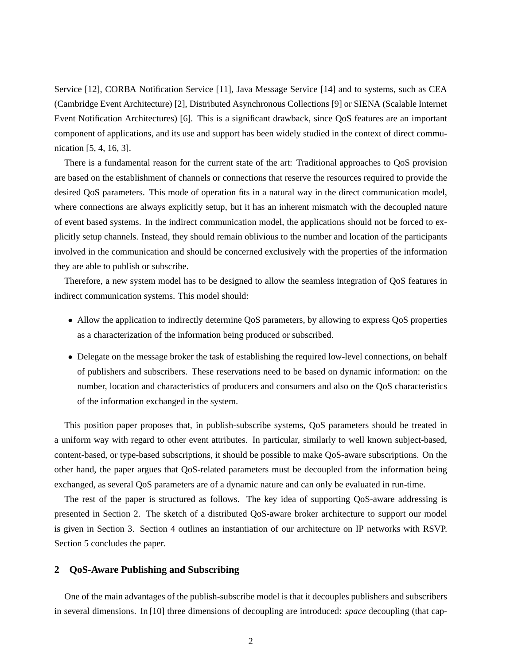Service [12], CORBA Notification Service [11], Java Message Service [14] and to systems, such as CEA (Cambridge Event Architecture) [2], Distributed Asynchronous Collections [9] or SIENA (Scalable Internet Event Notification Architectures) [6]. This is a significant drawback, since QoS features are an important component of applications, and its use and support has been widely studied in the context of direct communication [5, 4, 16, 3].

There is a fundamental reason for the current state of the art: Traditional approaches to QoS provision are based on the establishment of channels or connections that reserve the resources required to provide the desired QoS parameters. This mode of operation fits in a natural way in the direct communication model, where connections are always explicitly setup, but it has an inherent mismatch with the decoupled nature of event based systems. In the indirect communication model, the applications should not be forced to explicitly setup channels. Instead, they should remain oblivious to the number and location of the participants involved in the communication and should be concerned exclusively with the properties of the information they are able to publish or subscribe.

Therefore, a new system model has to be designed to allow the seamless integration of QoS features in indirect communication systems. This model should:

- Allow the application to indirectly determine QoS parameters, by allowing to express QoS properties as a characterization of the information being produced or subscribed.
- Delegate on the message broker the task of establishing the required low-level connections, on behalf of publishers and subscribers. These reservations need to be based on dynamic information: on the number, location and characteristics of producers and consumers and also on the QoS characteristics of the information exchanged in the system.

This position paper proposes that, in publish-subscribe systems, QoS parameters should be treated in a uniform way with regard to other event attributes. In particular, similarly to well known subject-based, content-based, or type-based subscriptions, it should be possible to make QoS-aware subscriptions. On the other hand, the paper argues that QoS-related parameters must be decoupled from the information being exchanged, as several QoS parameters are of a dynamic nature and can only be evaluated in run-time.

The rest of the paper is structured as follows. The key idea of supporting QoS-aware addressing is presented in Section 2. The sketch of a distributed QoS-aware broker architecture to support our model is given in Section 3. Section 4 outlines an instantiation of our architecture on IP networks with RSVP. Section 5 concludes the paper.

### **2 QoS-Aware Publishing and Subscribing**

One of the main advantages of the publish-subscribe model is that it decouples publishers and subscribers in several dimensions. In [10] three dimensions of decoupling are introduced: *space* decoupling (that cap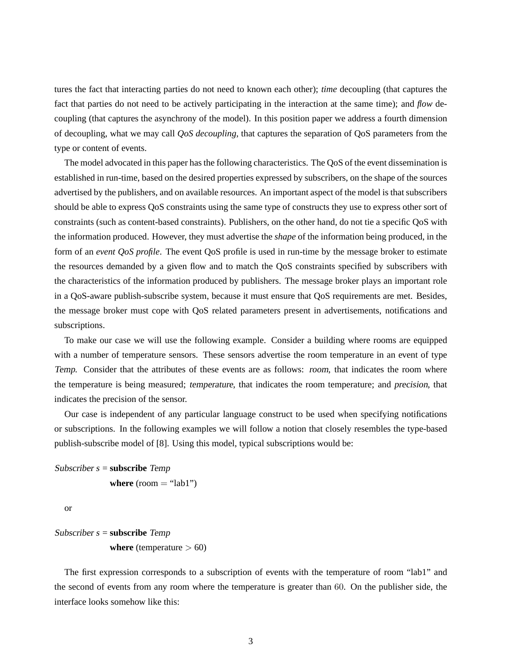tures the fact that interacting parties do not need to known each other); *time* decoupling (that captures the fact that parties do not need to be actively participating in the interaction at the same time); and *flow* decoupling (that captures the asynchrony of the model). In this position paper we address a fourth dimension of decoupling, what we may call *QoS decoupling*, that captures the separation of QoS parameters from the type or content of events.

The model advocated in this paper has the following characteristics. The QoS of the event dissemination is established in run-time, based on the desired properties expressed by subscribers, on the shape of the sources advertised by the publishers, and on available resources. An important aspect of the model is that subscribers should be able to express QoS constraints using the same type of constructs they use to express other sort of constraints (such as content-based constraints). Publishers, on the other hand, do not tie a specific QoS with the information produced. However, they must advertise the *shape* of the information being produced, in the form of an *event QoS profile*. The event QoS profile is used in run-time by the message broker to estimate the resources demanded by a given flow and to match the QoS constraints specified by subscribers with the characteristics of the information produced by publishers. The message broker plays an important role in a QoS-aware publish-subscribe system, because it must ensure that QoS requirements are met. Besides, the message broker must cope with QoS related parameters present in advertisements, notifications and subscriptions.

To make our case we will use the following example. Consider a building where rooms are equipped with a number of temperature sensors. These sensors advertise the room temperature in an event of type Temp. Consider that the attributes of these events are as follows: room, that indicates the room where the temperature is being measured; temperature, that indicates the room temperature; and precision, that indicates the precision of the sensor.

Our case is independent of any particular language construct to be used when specifying notifications or subscriptions. In the following examples we will follow a notion that closely resembles the type-based publish-subscribe model of [8]. Using this model, typical subscriptions would be:

Subscriber <sup>s</sup> = **subscribe** Temp **where** (room  $=$  "lab1")

or

Subscriber <sup>s</sup> = **subscribe** Temp **where** (temperature  $> 60$ )

The first expression corresponds to a subscription of events with the temperature of room "lab1" and the second of events from any room where the temperature is greater than 60. On the publisher side, the interface looks somehow like this: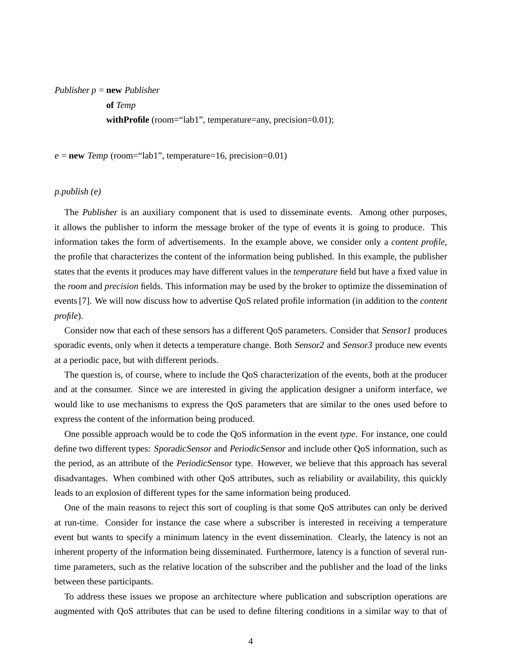#### Publisher  $p = new$  Publisher

**of** *Temp*

withProfile (room="lab1", temperature=any, precision=0.01);

 $e = new Temp (room="lab1", temperature=16, precision=0.01)$ 

### p.publish (e)

The Publisher is an auxiliary component that is used to disseminate events. Among other purposes, it allows the publisher to inform the message broker of the type of events it is going to produce. This information takes the form of advertisements. In the example above, we consider only a *content profile*, the profile that characterizes the content of the information being published. In this example, the publisher states that the events it produces may have different values in the *temperature* field but have a fixed value in the *room* and *precision* fields. This information may be used by the broker to optimize the dissemination of events [7]. We will now discuss how to advertise QoS related profile information (in addition to the *content profile*).

Consider now that each of these sensors has a different QoS parameters. Consider that Sensor1 produces sporadic events, only when it detects a temperature change. Both Sensor2 and Sensor3 produce new events at a periodic pace, but with different periods.

The question is, of course, where to include the QoS characterization of the events, both at the producer and at the consumer. Since we are interested in giving the application designer a uniform interface, we would like to use mechanisms to express the QoS parameters that are similar to the ones used before to express the content of the information being produced.

One possible approach would be to code the QoS information in the event *type*. For instance, one could define two different types: SporadicSensor and PeriodicSensor and include other OoS information, such as the period, as an attribute of the PeriodicSensor type. However, we believe that this approach has several disadvantages. When combined with other QoS attributes, such as reliability or availability, this quickly leads to an explosion of different types for the same information being produced.

One of the main reasons to reject this sort of coupling is that some QoS attributes can only be derived at run-time. Consider for instance the case where a subscriber is interested in receiving a temperature event but wants to specify a minimum latency in the event dissemination. Clearly, the latency is not an inherent property of the information being disseminated. Furthermore, latency is a function of several runtime parameters, such as the relative location of the subscriber and the publisher and the load of the links between these participants.

To address these issues we propose an architecture where publication and subscription operations are augmented with QoS attributes that can be used to define filtering conditions in a similar way to that of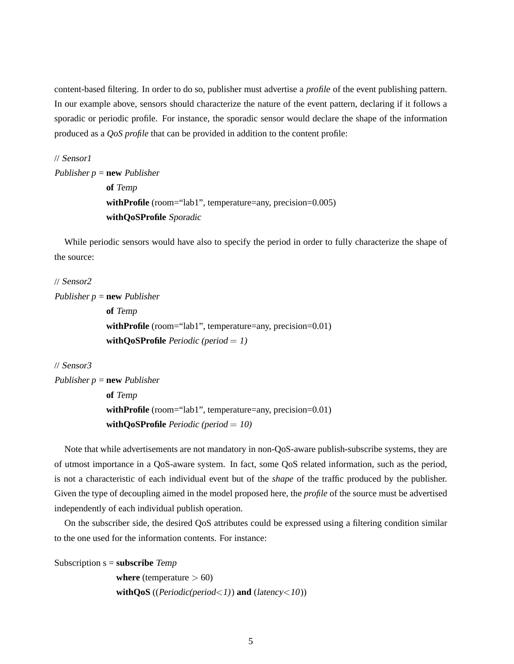content-based filtering. In order to do so, publisher must advertise a profile of the event publishing pattern. In our example above, sensors should characterize the nature of the event pattern, declaring if it follows a sporadic or periodic profile. For instance, the sporadic sensor would declare the shape of the information produced as a *QoS profile* that can be provided in addition to the content profile:

### // Sensor1

```
Publisher p = new Publisher
 of Temp
 withProfile (room="lab1", temperature=any, precision=0.005)
 withQoSProfile Sporadic
```
While periodic sensors would have also to specify the period in order to fully characterize the shape of the source:

# // Sensor2 Publisher  $p = new$  Publisher **of** Temp

withProfile (room="lab1", temperature=any, precision=0.01) **withQoSProfile** Periodic (period  $= 1$ )

### // Sensor3

```
Publisher p = new Publisher
 of Temp
 withProfile (room="lab1", temperature=any, precision=0.01)
 withQoSProfile Periodic (period = 10)
```
Note that while advertisements are not mandatory in non-QoS-aware publish-subscribe systems, they are of utmost importance in a QoS-aware system. In fact, some QoS related information, such as the period, is not a characteristic of each individual event but of the *shape* of the traffic produced by the publisher. Given the type of decoupling aimed in the model proposed here, the *profile* of the source must be advertised independently of each individual publish operation.

On the subscriber side, the desired QoS attributes could be expressed using a filtering condition similar to the one used for the information contents. For instance:

```
Subscription s = subscribe Temp
       where (temperature > 60)
       withQoS ((Periodic(period\langle 1 \rangle) and (latency\langle 10 \rangle)
```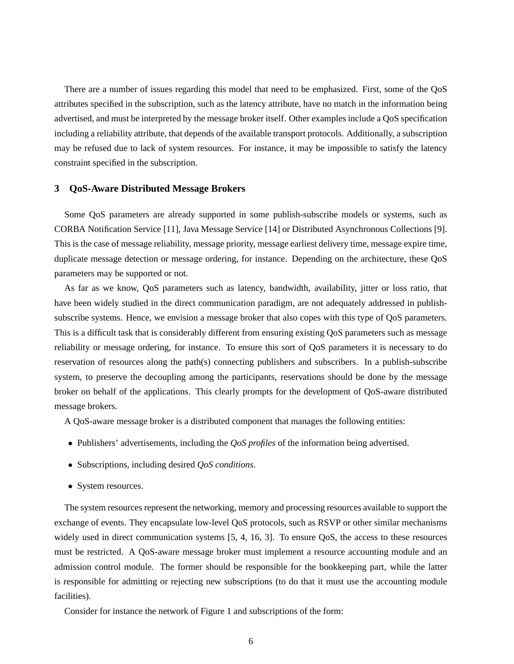There are a number of issues regarding this model that need to be emphasized. First, some of the QoS attributes specified in the subscription, such as the latency attribute, have no match in the information being advertised, and must be interpreted by the message broker itself. Other examples include a QoS specification including a reliability attribute, that depends of the available transport protocols. Additionally, a subscription may be refused due to lack of system resources. For instance, it may be impossible to satisfy the latency constraint specified in the subscription.

### **3 QoS-Aware Distributed Message Brokers**

Some QoS parameters are already supported in some publish-subscribe models or systems, such as CORBA Notification Service [11], Java Message Service [14] or Distributed Asynchronous Collections [9]. This is the case of message reliability, message priority, message earliest delivery time, message expire time, duplicate message detection or message ordering, for instance. Depending on the architecture, these QoS parameters may be supported or not.

As far as we know, QoS parameters such as latency, bandwidth, availability, jitter or loss ratio, that have been widely studied in the direct communication paradigm, are not adequately addressed in publishsubscribe systems. Hence, we envision a message broker that also copes with this type of QoS parameters. This is a difficult task that is considerably different from ensuring existing QoS parameters such as message reliability or message ordering, for instance. To ensure this sort of QoS parameters it is necessary to do reservation of resources along the path(s) connecting publishers and subscribers. In a publish-subscribe system, to preserve the decoupling among the participants, reservations should be done by the message broker on behalf of the applications. This clearly prompts for the development of QoS-aware distributed message brokers.

A QoS-aware message broker is a distributed component that manages the following entities:

- Publishers' advertisements, including the *QoS profiles* of the information being advertised.
- Subscriptions, including desired *QoS conditions*.
- System resources.

The system resources represent the networking, memory and processing resources available to support the exchange of events. They encapsulate low-level QoS protocols, such as RSVP or other similar mechanisms widely used in direct communication systems [5, 4, 16, 3]. To ensure QoS, the access to these resources must be restricted. A QoS-aware message broker must implement a resource accounting module and an admission control module. The former should be responsible for the bookkeeping part, while the latter is responsible for admitting or rejecting new subscriptions (to do that it must use the accounting module facilities).

Consider for instance the network of Figure 1 and subscriptions of the form: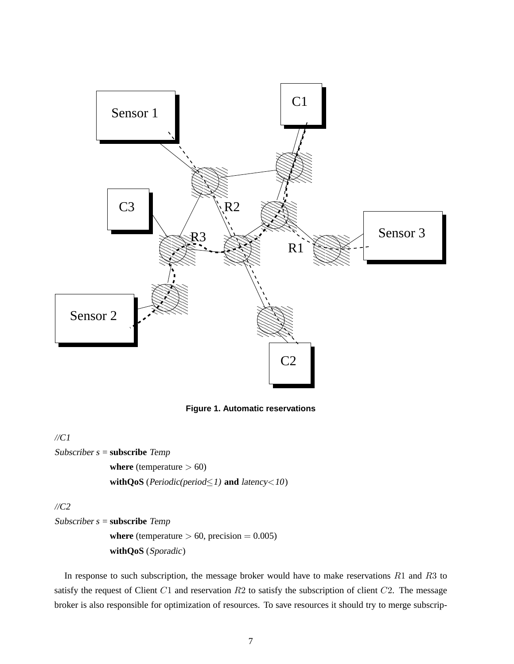

**Figure 1. Automatic reservations**

//C1

Subscriber <sup>s</sup> = **subscribe** Temp **where** (temperature  $> 60$ ) **withQoS** (Periodic(period≤1) **and** latency<10)

//C2

Subscriber <sup>s</sup> = **subscribe** Temp **where** (temperature  $> 60$ , precision  $= 0.005$ ) **withQoS** (Sporadic)

In response to such subscription, the message broker would have to make reservations  $R1$  and  $R3$  to satisfy the request of Client  $C1$  and reservation  $R2$  to satisfy the subscription of client  $C2$ . The message broker is also responsible for optimization of resources. To save resources it should try to merge subscrip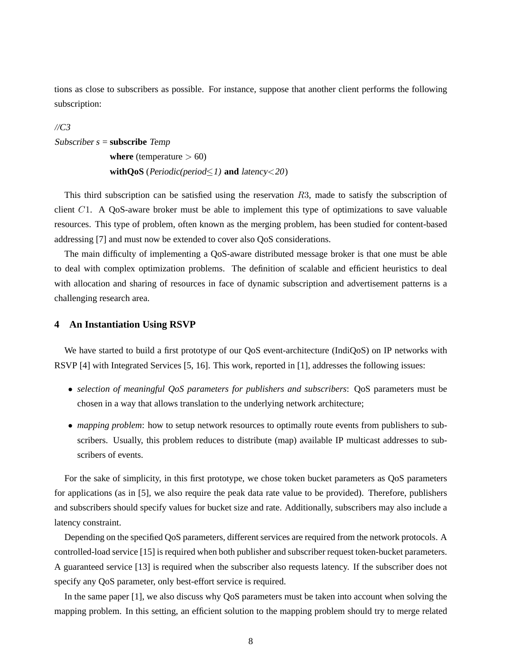tions as close to subscribers as possible. For instance, suppose that another client performs the following subscription:

//C3

Subscriber <sup>s</sup> = **subscribe** Temp **where** (temperature  $> 60$ ) **withQoS** (Periodic(period≤1) **and** latency<20)

This third subscription can be satisfied using the reservation R3, made to satisfy the subscription of client C1. A QoS-aware broker must be able to implement this type of optimizations to save valuable resources. This type of problem, often known as the merging problem, has been studied for content-based addressing [7] and must now be extended to cover also QoS considerations.

The main difficulty of implementing a QoS-aware distributed message broker is that one must be able to deal with complex optimization problems. The definition of scalable and efficient heuristics to deal with allocation and sharing of resources in face of dynamic subscription and advertisement patterns is a challenging research area.

### **4 An Instantiation Using RSVP**

We have started to build a first prototype of our QoS event-architecture (IndiQoS) on IP networks with RSVP [4] with Integrated Services [5, 16]. This work, reported in [1], addresses the following issues:

- *selection of meaningful QoS parameters for publishers and subscribers*: QoS parameters must be chosen in a way that allows translation to the underlying network architecture;
- *mapping problem*: how to setup network resources to optimally route events from publishers to subscribers. Usually, this problem reduces to distribute (map) available IP multicast addresses to subscribers of events.

For the sake of simplicity, in this first prototype, we chose token bucket parameters as QoS parameters for applications (as in [5], we also require the peak data rate value to be provided). Therefore, publishers and subscribers should specify values for bucket size and rate. Additionally, subscribers may also include a latency constraint.

Depending on the specified QoS parameters, different services are required from the network protocols. A controlled-load service [15] is required when both publisher and subscriber request token-bucket parameters. A guaranteed service [13] is required when the subscriber also requests latency. If the subscriber does not specify any QoS parameter, only best-effort service is required.

In the same paper [1], we also discuss why QoS parameters must be taken into account when solving the mapping problem. In this setting, an efficient solution to the mapping problem should try to merge related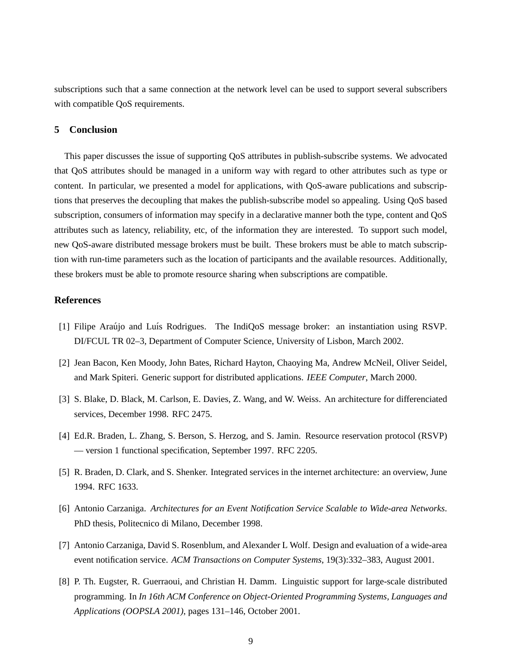subscriptions such that a same connection at the network level can be used to support several subscribers with compatible QoS requirements.

### **5 Conclusion**

This paper discusses the issue of supporting QoS attributes in publish-subscribe systems. We advocated that QoS attributes should be managed in a uniform way with regard to other attributes such as type or content. In particular, we presented a model for applications, with QoS-aware publications and subscriptions that preserves the decoupling that makes the publish-subscribe model so appealing. Using QoS based subscription, consumers of information may specify in a declarative manner both the type, content and QoS attributes such as latency, reliability, etc, of the information they are interested. To support such model, new QoS-aware distributed message brokers must be built. These brokers must be able to match subscription with run-time parameters such as the location of participants and the available resources. Additionally, these brokers must be able to promote resource sharing when subscriptions are compatible.

### **References**

- [1] Filipe Araújo and Luís Rodrigues. The IndiQoS message broker: an instantiation using RSVP. DI/FCUL TR 02–3, Department of Computer Science, University of Lisbon, March 2002.
- [2] Jean Bacon, Ken Moody, John Bates, Richard Hayton, Chaoying Ma, Andrew McNeil, Oliver Seidel, and Mark Spiteri. Generic support for distributed applications. *IEEE Computer*, March 2000.
- [3] S. Blake, D. Black, M. Carlson, E. Davies, Z. Wang, and W. Weiss. An architecture for differenciated services, December 1998. RFC 2475.
- [4] Ed.R. Braden, L. Zhang, S. Berson, S. Herzog, and S. Jamin. Resource reservation protocol (RSVP) — version 1 functional specification, September 1997. RFC 2205.
- [5] R. Braden, D. Clark, and S. Shenker. Integrated services in the internet architecture: an overview, June 1994. RFC 1633.
- [6] Antonio Carzaniga. *Architectures for an Event Notification Service Scalable to Wide-area Networks*. PhD thesis, Politecnico di Milano, December 1998.
- [7] Antonio Carzaniga, David S. Rosenblum, and Alexander L Wolf. Design and evaluation of a wide-area event notification service. *ACM Transactions on Computer Systems*, 19(3):332–383, August 2001.
- [8] P. Th. Eugster, R. Guerraoui, and Christian H. Damm. Linguistic support for large-scale distributed programming. In *In 16th ACM Conference on Object-Oriented Programming Systems, Languages and Applications (OOPSLA 2001)*, pages 131–146, October 2001.